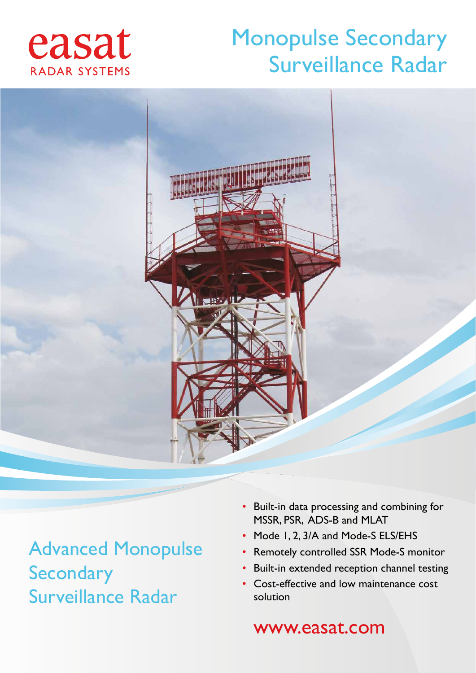## easat RADAR SYSTEMS

## Monopulse Secondary Surveillance Radar



Advanced Monopulse **Secondary** Surveillance Radar

- Built-in data processing and combining for MSSR, PSR, ADS-B and MLAT
- Mode 1, 2, 3/A and Mode-S ELS/EHS
- Remotely controlled SSR Mode-S monitor
- Built-in extended reception channel testing
- Cost-effective and low maintenance cost solution

### www.easat.com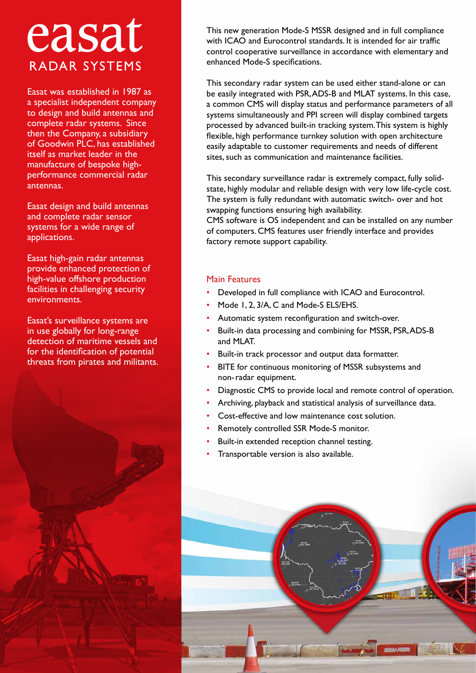# easat **RADAR SYSTEMS**

Easat was established in 1987 as a specialist independent company to design and build antennas and complete radar systems. Since then the Company, a subsidiary of Goodwin PLC, has established itself as market leader in the manufacture of bespoke highperformance commercial radar antennas.

Easat design and build antennas and complete radar sensor systems for a wide range of applications.

Easat high-gain radar antennas provide enhanced protection of high-value offshore production facilities in challenging security environments.

Easat's surveillance systems are in use globally for long-range detection of maritime vessels and for the identification of potential threats from pirates and militants.



This new generation Mode-S MSSR designed and in full compliance with ICAO and Eurocontrol standards. It is intended for air traffic control cooperative surveillance in accordance with elementary and enhanced Mode-S specifications.

This secondary radar system can be used either stand-alone or can be easily integrated with PSR, ADS-B and MLAT systems. In this case, a common CMS will display status and performance parameters of all systems simultaneously and PPI screen will display combined targets processed by advanced built-in tracking system. This system is highly flexible, high performance turnkey solution with open architecture easily adaptable to customer requirements and needs of different sites, such as communication and maintenance facilities.

This secondary surveillance radar is extremely compact, fully solidstate, highly modular and reliable design with very low life-cycle cost. The system is fully redundant with automatic switch- over and hot swapping functions ensuring high availability.

CMS software is OS independent and can be installed on any number of computers. CMS features user friendly interface and provides factory remote support capability.

#### Main Features

- Developed in full compliance with ICAO and Eurocontrol.
- Mode 1, 2, 3/A, C and Mode-S ELS/EHS.
- Automatic system reconfiguration and switch-over.
- Built-in data processing and combining for MSSR, PSR, ADS-B and MLAT.
- Built-in track processor and output data formatter.
- BITE for continuous monitoring of MSSR subsystems and non-radar equipment.
- Diagnostic CMS to provide local and remote control of operation.
- Archiving, playback and statistical analysis of surveillance data.
- Cost-effective and low maintenance cost solution.
- Remotely controlled SSR Mode-S monitor.
- Built-in extended reception channel testing.
- Transportable version is also available.

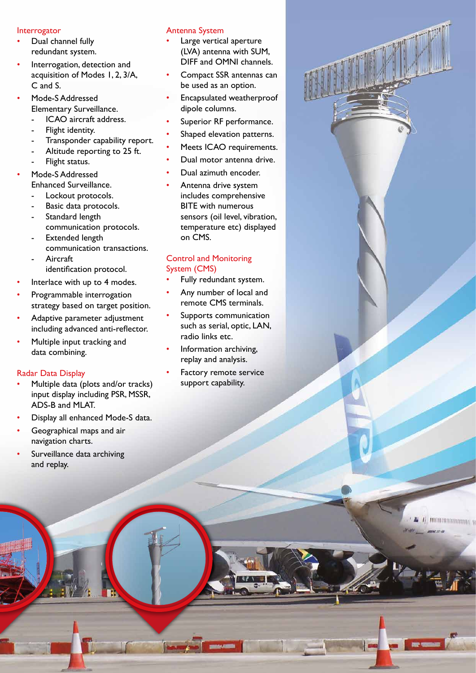#### Interrogator

- Dual channel fully redundant system.
- Interrogation, detection and acquisition of Modes 1, 2, 3/A, C and S.
- Mode-S Addressed Elementary Surveillance. ICAO aircraft address.
	-
	- Flight identity.
	- Transponder capability report. Altitude reporting to 25 ft.
	- Flight status.
- Mode-S Addressed
	- Enhanced Surveillance.
	- Lockout protocols.
	- Basic data protocols. Standard length
	- communication protocols.
	- Extended length communication transactions.
	- **Aircraft** identification protocol.
- Interlace with up to 4 modes.
- Programmable interrogation strategy based on target position.
- Adaptive parameter adjustment including advanced anti-reflector.
- Multiple input tracking and data combining.

#### Radar Data Display

- Multiple data (plots and/or tracks) input display including PSR, MSSR, ADS-B and MLAT.
- Display all enhanced Mode-S data.
- Geographical maps and air navigation charts.
- Surveillance data archiving and replay.

#### Antenna System

- Large vertical aperture (LVA) antenna with SUM, DIFF and OMNI channels.
- Compact SSR antennas can be used as an option.
- Encapsulated weatherproof dipole columns.
- Superior RF performance.
- Shaped elevation patterns.
- Meets ICAO requirements.
- Dual motor antenna drive.
- Dual azimuth encoder.
- Antenna drive system includes comprehensive BITE with numerous sensors (oil level, vibration, temperature etc) displayed on CMS.

#### Control and Monitoring System (CMS)

- Fully redundant system.
- Any number of local and remote CMS terminals.
- Supports communication such as serial, optic, LAN, radio links etc.
- Information archiving, replay and analysis.
- Factory remote service support capability.